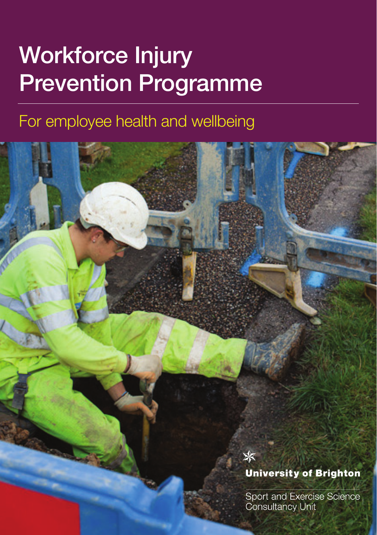# Workforce Injury Prevention Programme

# For employee health and wellbeing



Sport and Exercise Science Consultancy Unit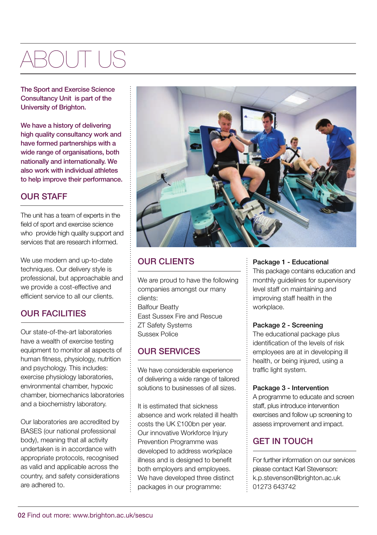# ROL IT

The Sport and Exercise Science Consultancy Unit is part of the University of Brighton.

We have a history of delivering high quality consultancy work and have formed partnerships with a wide range of organisations, both nationally and internationally. We also work with individual athletes to help improve their performance.

### OUR STAFF

The unit has a team of experts in the field of sport and exercise science who provide high quality support and services that are research informed.

We use modern and up-to-date techniques. Our delivery style is professional, but approachable and we provide a cost-effective and efficient service to all our clients.

### OUR FACILITIES

Our state-of-the-art laboratories have a wealth of exercise testing equipment to monitor all aspects of human fitness, physiology, nutrition and psychology. This includes: exercise physiology laboratories, environmental chamber, hypoxic chamber, biomechanics laboratories and a biochemistry laboratory.

Our laboratories are accredited by BASES (our national professional body), meaning that all activity undertaken is in accordance with appropriate protocols, recognised as valid and applicable across the country, and safety considerations are adhered to.



### OUR CLIENTS

We are proud to have the following companies amongst our many clients: Balfour Beatty East Sussex Fire and Rescue ZT Safety Systems Sussex Police

#### OUR SERVICES

We have considerable experience of delivering a wide range of tailored solutions to businesses of all sizes.

It is estimated that sickness absence and work related ill health costs the UK £100bn per year. Our innovative Workforce Injury Prevention Programme was developed to address workplace illness and is designed to benefit both employers and employees. We have developed three distinct packages in our programme:

#### Package 1 - Educational

This package contains education and monthly guidelines for supervisory level staff on maintaining and improving staff health in the workplace.

#### Package 2 - Screening

The educational package plus identification of the levels of risk employees are at in developing ill health, or being injured, using a traffic light system.

#### Package 3 - Intervention

A programme to educate and screen staff, plus introduce intervention exercises and follow up screening to assess improvement and impact.

### GET IN TOUCH

For further information on our services please contact Karl Stevenson: k.p.stevenson@brighton.ac.uk 01273 643742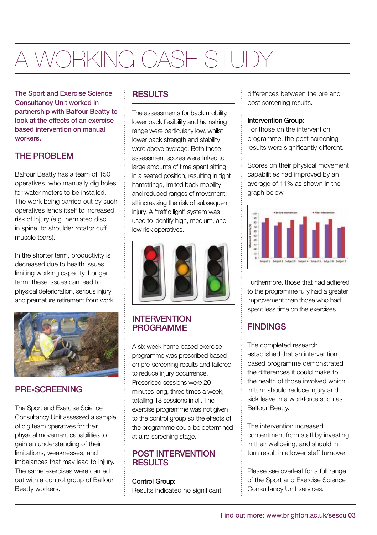# A WORKING CASE STUDY

The Sport and Exercise Science Consultancy Unit worked in partnership with Balfour Beatty to look at the effects of an exercise based intervention on manual workers.

# THE PROBLEM

Balfour Beatty has a team of 150 operatives who manually dig holes for water meters to be installed. The work being carried out by such operatives lends itself to increased risk of injury (e.g. herniated disc in spine, to shoulder rotator cuff. muscle tears).

In the shorter term, productivity is decreased due to health issues limiting working capacity. Longer term, these issues can lead to physical deterioration, serious injury and premature retirement from work.



### PRE-SCREENING

The Sport and Exercise Science Consultancy Unit assessed a sample of dig team operatives for their physical movement capabilities to gain an understanding of their limitations, weaknesses, and imbalances that may lead to injury. The same exercises were carried out with a control group of Balfour Beatty workers.

#### **RESULTS**

The assessments for back mobility, lower back flexibility and hamstring range were particularly low, whilst lower back strength and stability were above average. Both these assessment scores were linked to large amounts of time spent sitting in a seated position, resulting in tight hamstrings, limited back mobility and reduced ranges of movement; all increasing the risk of subsequent injury. A 'traffic light' system was used to identify high, medium, and low risk operatives.



#### **INTERVENTION** PROGRAMME

A six week home based exercise programme was prescribed based on pre-screening results and tailored to reduce injury occurrence. Prescribed sessions were 20 minutes long, three times a week, totalling 18 sessions in all. The exercise programme was not given to the control group so the effects of the programme could be determined at a re-screening stage.

#### POST INTERVENTION **RESULTS**

Control Group:

Results indicated no significant

differences between the pre and post screening results.

#### Intervention Group:

For those on the intervention programme, the post screening results were significantly different.

Scores on their physical movement capabilities had improved by an average of 11% as shown in the graph below.



Furthermore, those that had adhered to the programme fully had a greater improvement than those who had spent less time on the exercises.

# **FINDINGS**

The completed research established that an intervention based programme demonstrated the differences it could make to the health of those involved which in turn should reduce injury and sick leave in a workforce such as Balfour Beatty.

The intervention increased contentment from staff by investing in their wellbeing, and should in turn result in a lower staff turnover.

Please see overleaf for a full range of the Sport and Exercise Science Consultancy Unit services.